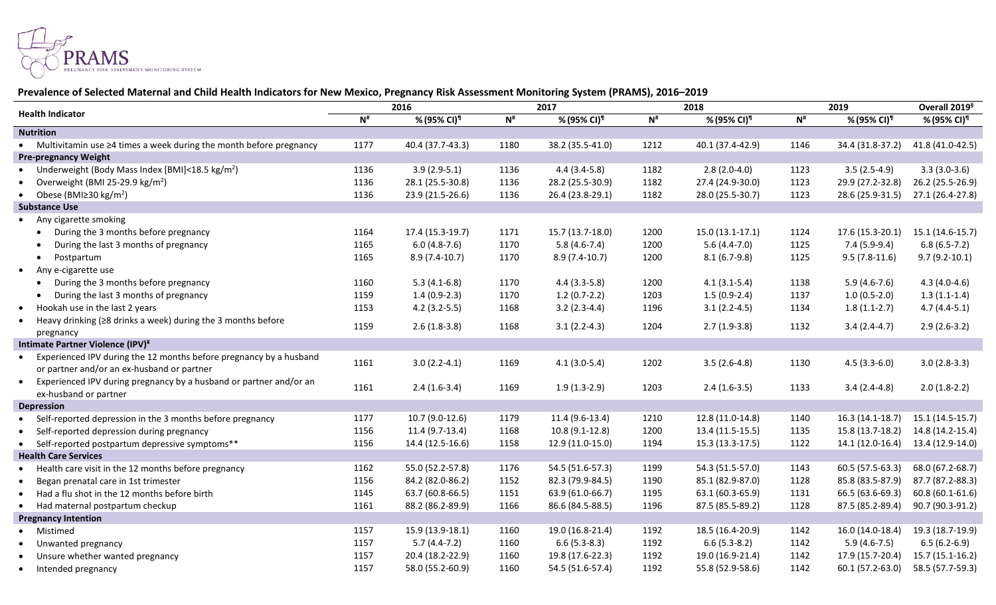

## **Prevalence of Selected Maternal and Child Health Indicators for New Mexico, Pregnancy Risk Assessment Monitoring System (PRAMS), 2016–2019**

| <b>Health Indicator</b>                                                          | 2016                     |                         | 2017     |                         | 2018     |                         | 2019     |                         | Overall 2019 <sup>§</sup> |
|----------------------------------------------------------------------------------|--------------------------|-------------------------|----------|-------------------------|----------|-------------------------|----------|-------------------------|---------------------------|
|                                                                                  | $\mathbf{N}^{\text{\#}}$ | % (95% CI) <sup>1</sup> | $N^{\#}$ | % (95% CI) <sup>1</sup> | $N^{\#}$ | % (95% CI) <sup>1</sup> | $N^{\#}$ | % (95% CI) <sup>1</sup> | % (95% CI)¶               |
| <b>Nutrition</b>                                                                 |                          |                         |          |                         |          |                         |          |                         |                           |
| • Multivitamin use $\geq 4$ times a week during the month before pregnancy       | 1177                     | 40.4 (37.7-43.3)        | 1180     | 38.2 (35.5-41.0)        | 1212     | 40.1 (37.4-42.9)        | 1146     | 34.4 (31.8-37.2)        | 41.8 (41.0-42.5)          |
| <b>Pre-pregnancy Weight</b>                                                      |                          |                         |          |                         |          |                         |          |                         |                           |
| Underweight (Body Mass Index [BMI]<18.5 kg/m <sup>2</sup> )                      | 1136                     | $3.9(2.9-5.1)$          | 1136     | $4.4(3.4-5.8)$          | 1182     | $2.8(2.0-4.0)$          | 1123     | $3.5(2.5-4.9)$          | $3.3(3.0-3.6)$            |
| Overweight (BMI 25-29.9 kg/m <sup>2</sup> )<br>$\bullet$                         | 1136                     | 28.1 (25.5-30.8)        | 1136     | 28.2 (25.5-30.9)        | 1182     | 27.4 (24.9-30.0)        | 1123     | 29.9 (27.2-32.8)        | 26.2 (25.5-26.9)          |
| • Obese (BMI $\geq$ 30 kg/m <sup>2</sup> )                                       | 1136                     | 23.9 (21.5-26.6)        | 1136     | 26.4 (23.8-29.1)        | 1182     | 28.0 (25.5-30.7)        | 1123     | 28.6 (25.9-31.5)        | 27.1 (26.4-27.8)          |
| <b>Substance Use</b>                                                             |                          |                         |          |                         |          |                         |          |                         |                           |
| • Any cigarette smoking                                                          |                          |                         |          |                         |          |                         |          |                         |                           |
| During the 3 months before pregnancy                                             | 1164                     | 17.4 (15.3-19.7)        | 1171     | 15.7 (13.7-18.0)        | 1200     | $15.0(13.1-17.1)$       | 1124     | 17.6 (15.3-20.1)        | 15.1 (14.6-15.7)          |
| During the last 3 months of pregnancy                                            | 1165                     | $6.0(4.8-7.6)$          | 1170     | $5.8(4.6-7.4)$          | 1200     | $5.6(4.4-7.0)$          | 1125     | $7.4(5.9-9.4)$          | $6.8(6.5-7.2)$            |
| Postpartum                                                                       | 1165                     | $8.9(7.4-10.7)$         | 1170     | $8.9(7.4-10.7)$         | 1200     | $8.1(6.7-9.8)$          | 1125     | $9.5(7.8-11.6)$         | $9.7(9.2-10.1)$           |
| • Any e-cigarette use                                                            |                          |                         |          |                         |          |                         |          |                         |                           |
| During the 3 months before pregnancy                                             | 1160                     | $5.3(4.1-6.8)$          | 1170     | $4.4(3.3-5.8)$          | 1200     | $4.1(3.1-5.4)$          | 1138     | $5.9(4.6-7.6)$          | $4.3(4.0-4.6)$            |
| During the last 3 months of pregnancy                                            | 1159                     | $1.4(0.9-2.3)$          | 1170     | $1.2(0.7-2.2)$          | 1203     | $1.5(0.9-2.4)$          | 1137     | $1.0(0.5-2.0)$          | $1.3(1.1-1.4)$            |
| Hookah use in the last 2 years<br>$\bullet$                                      | 1153                     | $4.2(3.2-5.5)$          | 1168     | $3.2(2.3-4.4)$          | 1196     | $3.1(2.2-4.5)$          | 1134     | $1.8(1.1-2.7)$          | $4.7(4.4-5.1)$            |
| Heavy drinking ( $\geq$ 8 drinks a week) during the 3 months before<br>$\bullet$ | 1159                     | $2.6(1.8-3.8)$          | 1168     | $3.1(2.2-4.3)$          | 1204     | $2.7(1.9-3.8)$          | 1132     | $3.4(2.4-4.7)$          | $2.9(2.6-3.2)$            |
| pregnancy                                                                        |                          |                         |          |                         |          |                         |          |                         |                           |
| Intimate Partner Violence (IPV)¥                                                 |                          |                         |          |                         |          |                         |          |                         |                           |
| Experienced IPV during the 12 months before pregnancy by a husband               | 1161                     | $3.0(2.2-4.1)$          | 1169     | $4.1(3.0-5.4)$          | 1202     | $3.5(2.6-4.8)$          | 1130     | $4.5(3.3-6.0)$          | $3.0(2.8-3.3)$            |
| or partner and/or an ex-husband or partner                                       |                          |                         |          |                         |          |                         |          |                         |                           |
| Experienced IPV during pregnancy by a husband or partner and/or an<br>$\bullet$  | 1161                     | $2.4(1.6-3.4)$          | 1169     | $1.9(1.3-2.9)$          | 1203     | $2.4(1.6-3.5)$          | 1133     | $3.4(2.4-4.8)$          | $2.0(1.8-2.2)$            |
| ex-husband or partner                                                            |                          |                         |          |                         |          |                         |          |                         |                           |
| <b>Depression</b>                                                                |                          |                         |          |                         |          |                         |          |                         |                           |
| • Self-reported depression in the 3 months before pregnancy                      | 1177                     | $10.7(9.0-12.6)$        | 1179     | 11.4 (9.6-13.4)         | 1210     | 12.8 (11.0-14.8)        | 1140     | $16.3(14.1-18.7)$       | 15.1 (14.5-15.7)          |
| Self-reported depression during pregnancy<br>$\bullet$                           | 1156                     | 11.4 (9.7-13.4)         | 1168     | 10.8 (9.1-12.8)         | 1200     | 13.4 (11.5-15.5)        | 1135     | 15.8 (13.7-18.2)        | 14.8 (14.2-15.4)          |
| • Self-reported postpartum depressive symptoms**                                 | 1156                     | 14.4 (12.5-16.6)        | 1158     | 12.9 (11.0-15.0)        | 1194     | 15.3 (13.3-17.5)        | 1122     | 14.1 (12.0-16.4)        | 13.4 (12.9-14.0)          |
| <b>Health Care Services</b>                                                      |                          |                         |          |                         |          |                         |          |                         |                           |
| Health care visit in the 12 months before pregnancy                              | 1162                     | 55.0 (52.2-57.8)        | 1176     | 54.5 (51.6-57.3)        | 1199     | 54.3 (51.5-57.0)        | 1143     | 60.5 (57.5-63.3)        | 68.0 (67.2-68.7)          |
| Began prenatal care in 1st trimester                                             | 1156                     | 84.2 (82.0-86.2)        | 1152     | 82.3 (79.9-84.5)        | 1190     | 85.1 (82.9-87.0)        | 1128     | 85.8 (83.5-87.9)        | 87.7 (87.2-88.3)          |
| Had a flu shot in the 12 months before birth<br>$\bullet$                        | 1145                     | 63.7 (60.8-66.5)        | 1151     | 63.9 (61.0-66.7)        | 1195     | 63.1 (60.3-65.9)        | 1131     | 66.5 (63.6-69.3)        | 60.8 (60.1-61.6)          |
| • Had maternal postpartum checkup                                                | 1161                     | 88.2 (86.2-89.9)        | 1166     | 86.6 (84.5-88.5)        | 1196     | 87.5 (85.5-89.2)        | 1128     | 87.5 (85.2-89.4)        | 90.7 (90.3-91.2)          |
| <b>Pregnancy Intention</b>                                                       |                          |                         |          |                         |          |                         |          |                         |                           |
| • Mistimed                                                                       | 1157                     | 15.9 (13.9-18.1)        | 1160     | 19.0 (16.8-21.4)        | 1192     | 18.5 (16.4-20.9)        | 1142     | 16.0 (14.0-18.4)        | 19.3 (18.7-19.9)          |
| Unwanted pregnancy<br>$\bullet$                                                  | 1157                     | $5.7(4.4-7.2)$          | 1160     | $6.6(5.3-8.3)$          | 1192     | $6.6(5.3-8.2)$          | 1142     | $5.9(4.6-7.5)$          | $6.5(6.2-6.9)$            |
| Unsure whether wanted pregnancy                                                  | 1157                     | 20.4 (18.2-22.9)        | 1160     | 19.8 (17.6-22.3)        | 1192     | 19.0 (16.9-21.4)        | 1142     | 17.9 (15.7-20.4)        | 15.7 (15.1-16.2)          |
| • Intended pregnancy                                                             | 1157                     | 58.0 (55.2-60.9)        | 1160     | 54.5 (51.6-57.4)        | 1192     | 55.8 (52.9-58.6)        | 1142     | 60.1 (57.2-63.0)        | 58.5 (57.7-59.3)          |